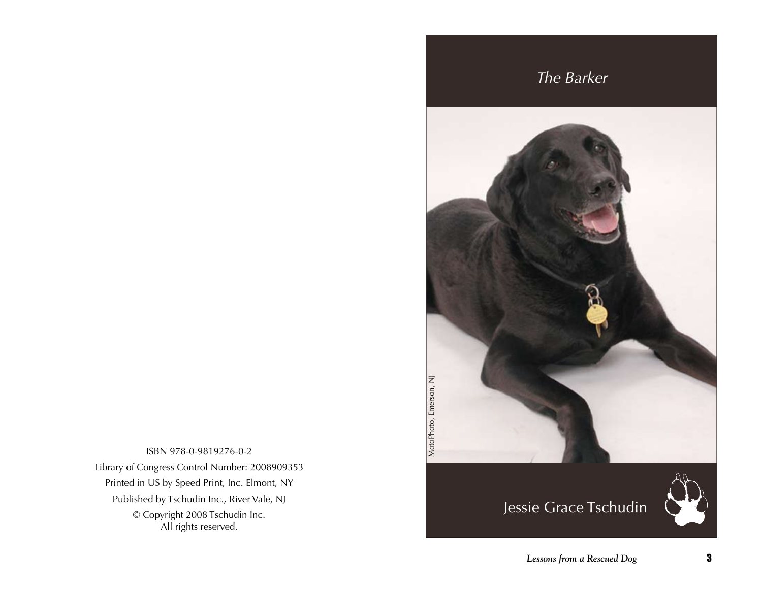ISBN 978-0-9819276-0-2 Library of Congress Control Number: 2008909353 Printed in US by Speed Print, Inc. Elmont, NY Published by Tschudin Inc., River Vale, NJ © Copyright 2008 Tschudin Inc. All rights reserved.

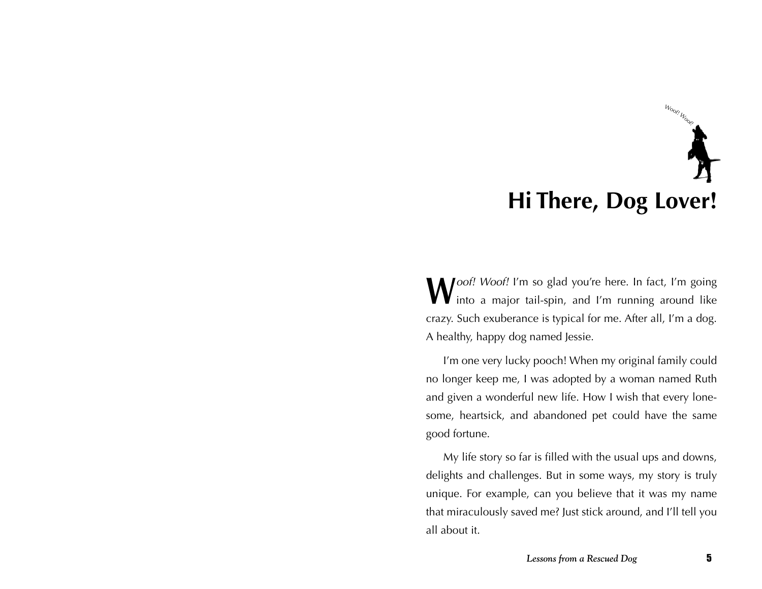## **Hi There, Dog Lover!** Woor! Woor!

**W**oof! Woof! I'm so glad you're here. In fact, I'm going into a major tail-spin, and I'm running around like crazy. Such exuberance is typical for me. After all, I'm a dog. A healthy, happy dog named Jessie.

I'm one very lucky pooch! When my original family could no longer keep me, I was adopted by a woman named Ruth and given a wonderful new life. How I wish that every lonesome, heartsick, and abandoned pet could have the same good fortune.

My life story so far is filled with the usual ups and downs, delights and challenges. But in some ways, my story is truly unique. For example, can you believe that it was my name that miraculously saved me? Just stick around, and I'll tell you all about it.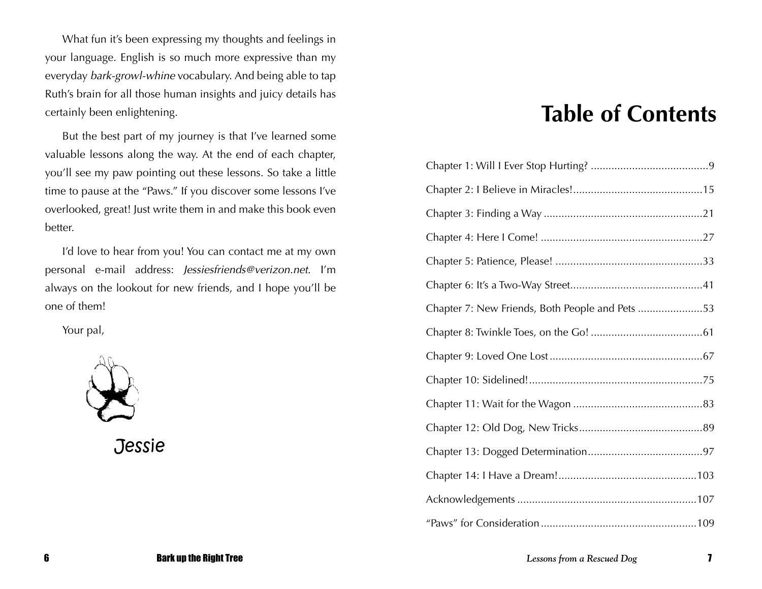What fun it's been expressing my thoughts and feelings in your language. English is so much more expressive than my everyday bark-growl-whine vocabulary. And being able to tap Ruth's brain for all those human insights and juicy details has certainly been enlightening.

But the best part of my journey is that I've learned some valuable lessons along the way. At the end of each chapter, you'll see my paw pointing out these lessons. So take a little time to pause at the "Paws." If you discover some lessons I've overlooked, great! Just write them in and make this book even better.

I'd love to hear from you! You can contact me at my own personal e-mail address: Jessiesfriends@verizon.net. I'm always on the lookout for new friends, and I hope you'll be one of them!

Your pal,



**Jessie** 

### **Table of Contents**

| Chapter 7: New Friends, Both People and Pets 53 |  |
|-------------------------------------------------|--|
|                                                 |  |
|                                                 |  |
|                                                 |  |
|                                                 |  |
|                                                 |  |
|                                                 |  |
|                                                 |  |
|                                                 |  |
|                                                 |  |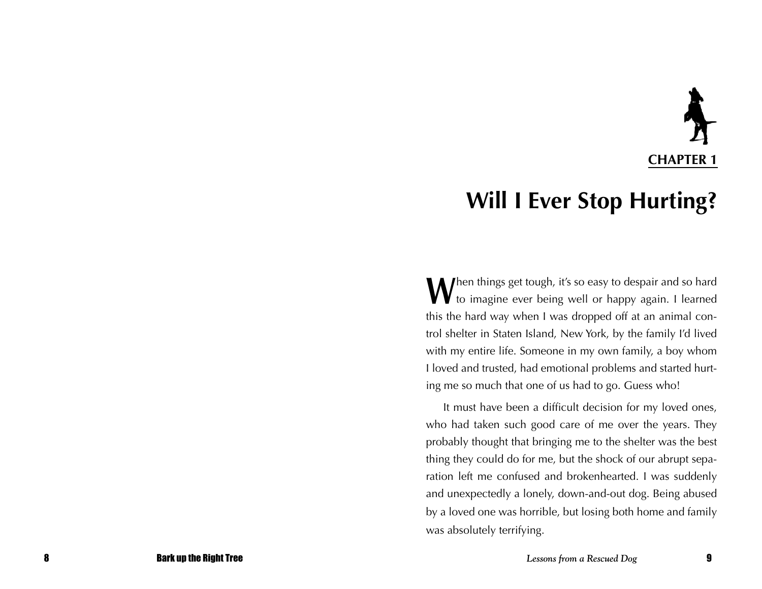# **CHAPTER 1**

### **Will I Ever Stop Hurting?**

When things get tough, it's so easy to despair and so hard<br>to imagine ever being well or happy again. I learned this the hard way when I was dropped off at an animal control shelter in Staten Island, New York, by the family I'd lived with my entire life. Someone in my own family, a boy whom I loved and trusted, had emotional problems and started hurting me so much that one of us had to go. Guess who!

It must have been a difficult decision for my loved ones, who had taken such good care of me over the years. They probably thought that bringing me to the shelter was the best thing they could do for me, but the shock of our abrupt separation left me confused and brokenhearted. I was suddenly and unexpectedly a lonely, down-and-out dog. Being abused by a loved one was horrible, but losing both home and family was absolutely terrifying.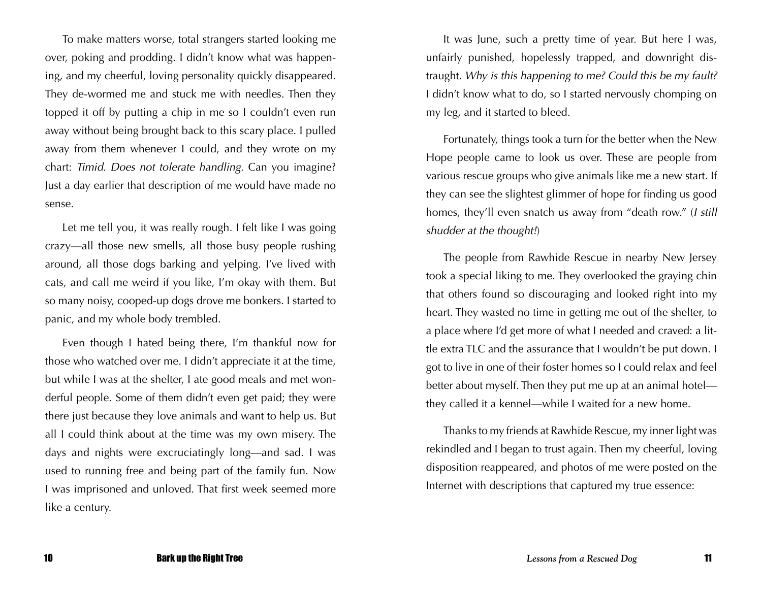To make matters worse, total strangers started looking me over, poking and prodding. I didn't know what was happening, and my cheerful, loving personality quickly disappeared. They de-wormed me and stuck me with needles. Then they topped it off by putting a chip in me so I couldn't even run away without being brought back to this scary place. I pulled away from them whenever I could, and they wrote on my chart: Timid. Does not tolerate handling. Can you imagine? Just a day earlier that description of me would have made no sense.

Let me tell you, it was really rough. I felt like I was going crazy—all those new smells, all those busy people rushing around, all those dogs barking and yelping. I've lived with cats, and call me weird if you like, I'm okay with them. But so many noisy, cooped-up dogs drove me bonkers. I started to panic, and my whole body trembled.

Even though I hated being there, I'm thankful now for those who watched over me. I didn't appreciate it at the time, but while I was at the shelter, I ate good meals and met wonderful people. Some of them didn't even get paid; they were there just because they love animals and want to help us. But all I could think about at the time was my own misery. The days and nights were excruciatingly long—and sad. I was used to running free and being part of the family fun. Now I was imprisoned and unloved. That first week seemed more like a century.

It was June, such a pretty time of year. But here I was, unfairly punished, hopelessly trapped, and downright distraught. Why is this happening to me? Could this be my fault? I didn't know what to do, so I started nervously chomping on my leg, and it started to bleed.

Fortunately, things took a turn for the better when the New Hope people came to look us over. These are people from various rescue groups who give animals like me a new start. If they can see the slightest glimmer of hope for finding us good homes, they'll even snatch us away from "death row." (I still shudder at the thought!)

The people from Rawhide Rescue in nearby New Jersey took a special liking to me. They overlooked the graying chin that others found so discouraging and looked right into my heart. They wasted no time in getting me out of the shelter, to a place where I'd get more of what I needed and craved: a little extra TLC and the assurance that I wouldn't be put down. I got to live in one of their foster homes so I could relax and feel better about myself. Then they put me up at an animal hotel they called it a kennel—while I waited for a new home.

Thanks to my friends at Rawhide Rescue, my inner light was rekindled and I began to trust again. Then my cheerful, loving disposition reappeared, and photos of me were posted on the Internet with descriptions that captured my true essence: